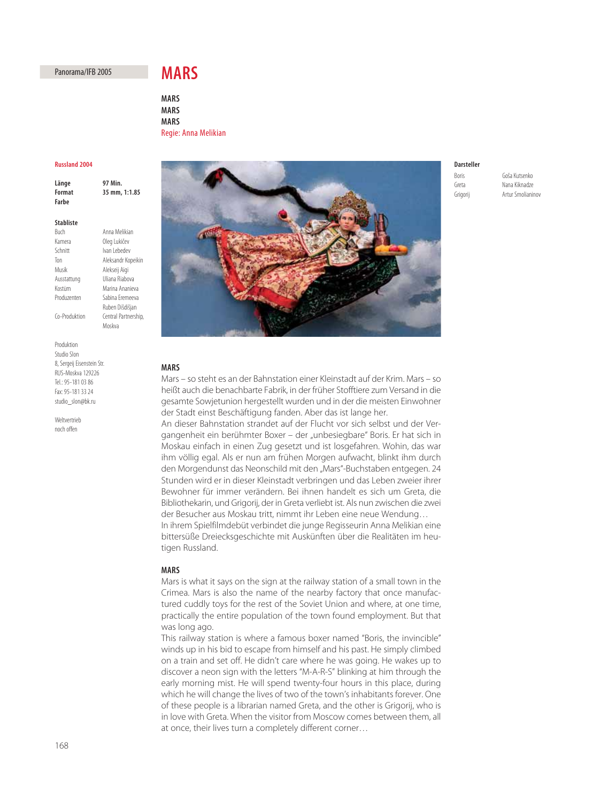# Panorama/IFB 2005

# **MARS**

**MARS MARS MARS**

## **Russland 2004**

**Länge 97 Min. Format 35 mm, 1:1.85 Farbe**

## **Stabliste**

| Buch          | Anna Melikian       |
|---------------|---------------------|
| Kamera        | Oleg Lukičev        |
| Schnitt       | Ivan Lebedev        |
| Ton           | Aleksandr Kopeikin  |
| Musik         | Alekseij Aigi       |
| Ausstattung   | Uliana Riabova      |
| Kostüm        | Marina Ananieva     |
| Produzenten   | Sabina Fremeeva     |
|               | Ruben Dišdišjan     |
| Co-Produktion | Central Partnership |
|               | Moskva              |
|               |                     |

Produktion Studio Slon 8, Sergeij Eisenstein Str. RUS-Moskva 129226 Tel.: 95-181 03 86 Fax: 95-181 33 24 studio\_slon@bk.ru

Weltvertrieh noch offen



# **MARS**

Mars – so steht es an der Bahnstation einer Kleinstadt auf der Krim. Mars – so heißt auch die benachbarte Fabrik, in der früher Stofftiere zum Versand in die gesamte Sowjetunion hergestellt wurden und in der die meisten Einwohner der Stadt einst Beschäftigung fanden. Aber das ist lange her.

An dieser Bahnstation strandet auf der Flucht vor sich selbst und der Vergangenheit ein berühmter Boxer – der "unbesiegbare" Boris. Er hat sich in Moskau einfach in einen Zug gesetzt und ist losgefahren. Wohin, das war ihm völlig egal. Als er nun am frühen Morgen aufwacht, blinkt ihm durch den Morgendunst das Neonschild mit den "Mars"-Buchstaben entgegen. 24 Stunden wird er in dieser Kleinstadt verbringen und das Leben zweier ihrer Bewohner für immer verändern. Bei ihnen handelt es sich um Greta, die Bibliothekarin, und Grigorij, der in Greta verliebt ist. Als nun zwischen die zwei der Besucher aus Moskau tritt, nimmt ihr Leben eine neue Wendung… In ihrem Spielfilmdebüt verbindet die junge Regisseurin Anna Melikian eine bittersüße Dreiecksgeschichte mit Auskünften über die Realitäten im heu-

## **MARS**

tigen Russland.

Mars is what it says on the sign at the railway station of a small town in the Crimea. Mars is also the name of the nearby factory that once manufactured cuddly toys for the rest of the Soviet Union and where, at one time, practically the entire population of the town found employment. But that was long ago.

This railway station is where a famous boxer named "Boris, the invincible" winds up in his bid to escape from himself and his past. He simply climbed on a train and set off. He didn't care where he was going. He wakes up to discover a neon sign with the letters "M-A-R-S" blinking at him through the early morning mist. He will spend twenty-four hours in this place, during which he will change the lives of two of the town's inhabitants forever. One of these people is a librarian named Greta, and the other is Grigorij, who is in love with Greta. When the visitor from Moscow comes between them, all at once, their lives turn a completely different corner…

# **Darsteller**

Boris Goˇsa Kutsenko Greta Nana Kiknadze Grigorij Artur Smolianinov